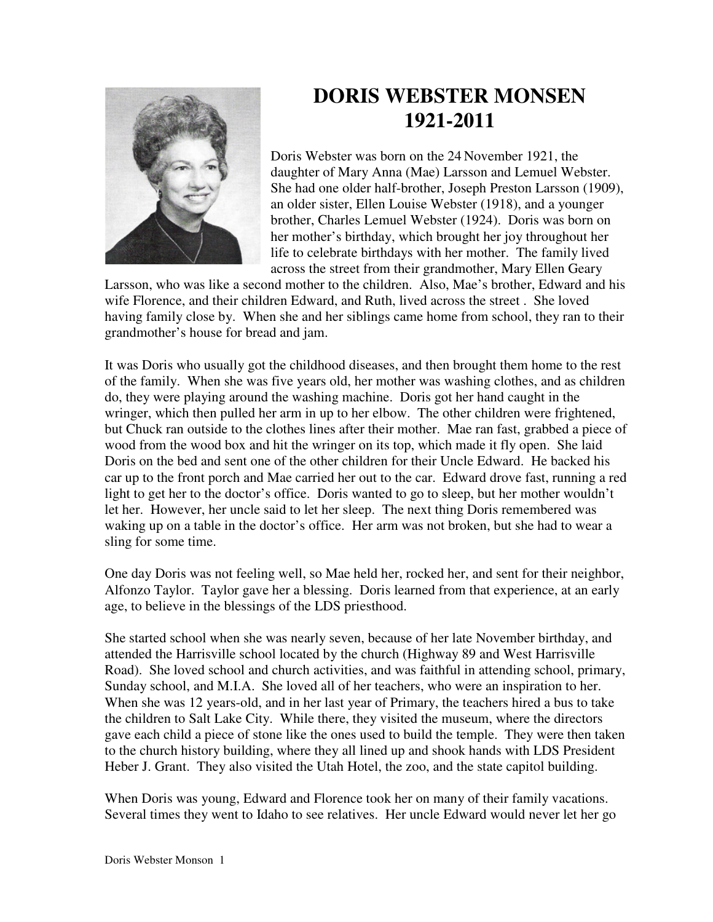

## **DORIS WEBSTER MONSEN 1921-2011**

Doris Webster was born on the 24 November 1921, the daughter of Mary Anna (Mae) Larsson and Lemuel Webster. She had one older half-brother, Joseph Preston Larsson (1909), an older sister, Ellen Louise Webster (1918), and a younger brother, Charles Lemuel Webster (1924). Doris was born on her mother's birthday, which brought her joy throughout her life to celebrate birthdays with her mother. The family lived across the street from their grandmother, Mary Ellen Geary

Larsson, who was like a second mother to the children. Also, Mae's brother, Edward and his wife Florence, and their children Edward, and Ruth, lived across the street . She loved having family close by. When she and her siblings came home from school, they ran to their grandmother's house for bread and jam.

It was Doris who usually got the childhood diseases, and then brought them home to the rest of the family. When she was five years old, her mother was washing clothes, and as children do, they were playing around the washing machine. Doris got her hand caught in the wringer, which then pulled her arm in up to her elbow. The other children were frightened, but Chuck ran outside to the clothes lines after their mother. Mae ran fast, grabbed a piece of wood from the wood box and hit the wringer on its top, which made it fly open. She laid Doris on the bed and sent one of the other children for their Uncle Edward. He backed his car up to the front porch and Mae carried her out to the car. Edward drove fast, running a red light to get her to the doctor's office. Doris wanted to go to sleep, but her mother wouldn't let her. However, her uncle said to let her sleep. The next thing Doris remembered was waking up on a table in the doctor's office. Her arm was not broken, but she had to wear a sling for some time.

One day Doris was not feeling well, so Mae held her, rocked her, and sent for their neighbor, Alfonzo Taylor. Taylor gave her a blessing. Doris learned from that experience, at an early age, to believe in the blessings of the LDS priesthood.

She started school when she was nearly seven, because of her late November birthday, and attended the Harrisville school located by the church (Highway 89 and West Harrisville Road). She loved school and church activities, and was faithful in attending school, primary, Sunday school, and M.I.A. She loved all of her teachers, who were an inspiration to her. When she was 12 years-old, and in her last year of Primary, the teachers hired a bus to take the children to Salt Lake City. While there, they visited the museum, where the directors gave each child a piece of stone like the ones used to build the temple. They were then taken to the church history building, where they all lined up and shook hands with LDS President Heber J. Grant. They also visited the Utah Hotel, the zoo, and the state capitol building.

When Doris was young, Edward and Florence took her on many of their family vacations. Several times they went to Idaho to see relatives. Her uncle Edward would never let her go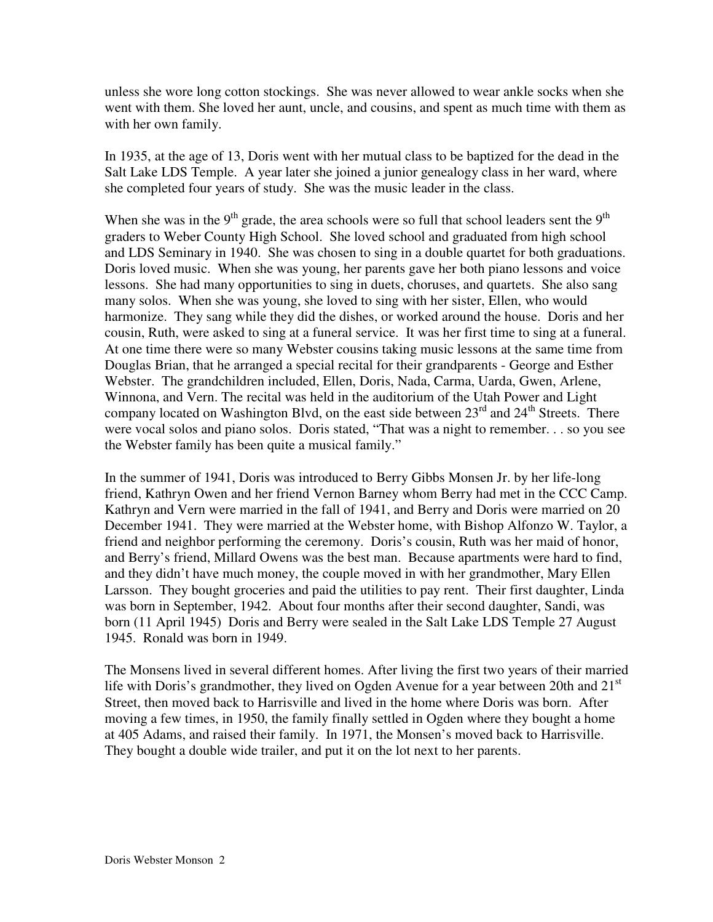unless she wore long cotton stockings. She was never allowed to wear ankle socks when she went with them. She loved her aunt, uncle, and cousins, and spent as much time with them as with her own family.

In 1935, at the age of 13, Doris went with her mutual class to be baptized for the dead in the Salt Lake LDS Temple. A year later she joined a junior genealogy class in her ward, where she completed four years of study. She was the music leader in the class.

When she was in the  $9<sup>th</sup>$  grade, the area schools were so full that school leaders sent the  $9<sup>th</sup>$ graders to Weber County High School. She loved school and graduated from high school and LDS Seminary in 1940. She was chosen to sing in a double quartet for both graduations. Doris loved music. When she was young, her parents gave her both piano lessons and voice lessons. She had many opportunities to sing in duets, choruses, and quartets. She also sang many solos. When she was young, she loved to sing with her sister, Ellen, who would harmonize. They sang while they did the dishes, or worked around the house. Doris and her cousin, Ruth, were asked to sing at a funeral service. It was her first time to sing at a funeral. At one time there were so many Webster cousins taking music lessons at the same time from Douglas Brian, that he arranged a special recital for their grandparents - George and Esther Webster. The grandchildren included, Ellen, Doris, Nada, Carma, Uarda, Gwen, Arlene, Winnona, and Vern. The recital was held in the auditorium of the Utah Power and Light company located on Washington Blvd, on the east side between  $23<sup>rd</sup>$  and  $24<sup>th</sup>$  Streets. There were vocal solos and piano solos. Doris stated, "That was a night to remember. . . so you see the Webster family has been quite a musical family."

In the summer of 1941, Doris was introduced to Berry Gibbs Monsen Jr. by her life-long friend, Kathryn Owen and her friend Vernon Barney whom Berry had met in the CCC Camp. Kathryn and Vern were married in the fall of 1941, and Berry and Doris were married on 20 December 1941. They were married at the Webster home, with Bishop Alfonzo W. Taylor, a friend and neighbor performing the ceremony. Doris's cousin, Ruth was her maid of honor, and Berry's friend, Millard Owens was the best man. Because apartments were hard to find, and they didn't have much money, the couple moved in with her grandmother, Mary Ellen Larsson. They bought groceries and paid the utilities to pay rent. Their first daughter, Linda was born in September, 1942. About four months after their second daughter, Sandi, was born (11 April 1945) Doris and Berry were sealed in the Salt Lake LDS Temple 27 August 1945. Ronald was born in 1949.

The Monsens lived in several different homes. After living the first two years of their married life with Doris's grandmother, they lived on Ogden Avenue for a year between 20th and  $21<sup>st</sup>$ Street, then moved back to Harrisville and lived in the home where Doris was born. After moving a few times, in 1950, the family finally settled in Ogden where they bought a home at 405 Adams, and raised their family. In 1971, the Monsen's moved back to Harrisville. They bought a double wide trailer, and put it on the lot next to her parents.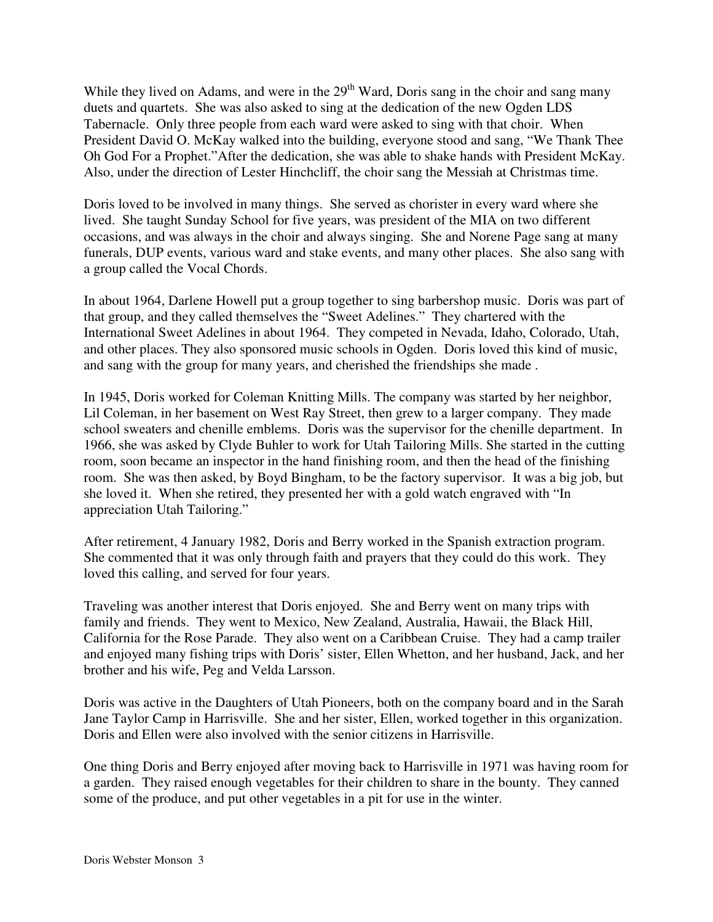While they lived on Adams, and were in the 29<sup>th</sup> Ward, Doris sang in the choir and sang many duets and quartets. She was also asked to sing at the dedication of the new Ogden LDS Tabernacle. Only three people from each ward were asked to sing with that choir. When President David O. McKay walked into the building, everyone stood and sang, "We Thank Thee Oh God For a Prophet."After the dedication, she was able to shake hands with President McKay. Also, under the direction of Lester Hinchcliff, the choir sang the Messiah at Christmas time.

Doris loved to be involved in many things. She served as chorister in every ward where she lived. She taught Sunday School for five years, was president of the MIA on two different occasions, and was always in the choir and always singing. She and Norene Page sang at many funerals, DUP events, various ward and stake events, and many other places. She also sang with a group called the Vocal Chords.

In about 1964, Darlene Howell put a group together to sing barbershop music. Doris was part of that group, and they called themselves the "Sweet Adelines." They chartered with the International Sweet Adelines in about 1964. They competed in Nevada, Idaho, Colorado, Utah, and other places. They also sponsored music schools in Ogden. Doris loved this kind of music, and sang with the group for many years, and cherished the friendships she made .

In 1945, Doris worked for Coleman Knitting Mills. The company was started by her neighbor, Lil Coleman, in her basement on West Ray Street, then grew to a larger company. They made school sweaters and chenille emblems. Doris was the supervisor for the chenille department. In 1966, she was asked by Clyde Buhler to work for Utah Tailoring Mills. She started in the cutting room, soon became an inspector in the hand finishing room, and then the head of the finishing room. She was then asked, by Boyd Bingham, to be the factory supervisor. It was a big job, but she loved it. When she retired, they presented her with a gold watch engraved with "In appreciation Utah Tailoring."

After retirement, 4 January 1982, Doris and Berry worked in the Spanish extraction program. She commented that it was only through faith and prayers that they could do this work. They loved this calling, and served for four years.

Traveling was another interest that Doris enjoyed. She and Berry went on many trips with family and friends. They went to Mexico, New Zealand, Australia, Hawaii, the Black Hill, California for the Rose Parade. They also went on a Caribbean Cruise. They had a camp trailer and enjoyed many fishing trips with Doris' sister, Ellen Whetton, and her husband, Jack, and her brother and his wife, Peg and Velda Larsson.

Doris was active in the Daughters of Utah Pioneers, both on the company board and in the Sarah Jane Taylor Camp in Harrisville. She and her sister, Ellen, worked together in this organization. Doris and Ellen were also involved with the senior citizens in Harrisville.

One thing Doris and Berry enjoyed after moving back to Harrisville in 1971 was having room for a garden. They raised enough vegetables for their children to share in the bounty. They canned some of the produce, and put other vegetables in a pit for use in the winter.